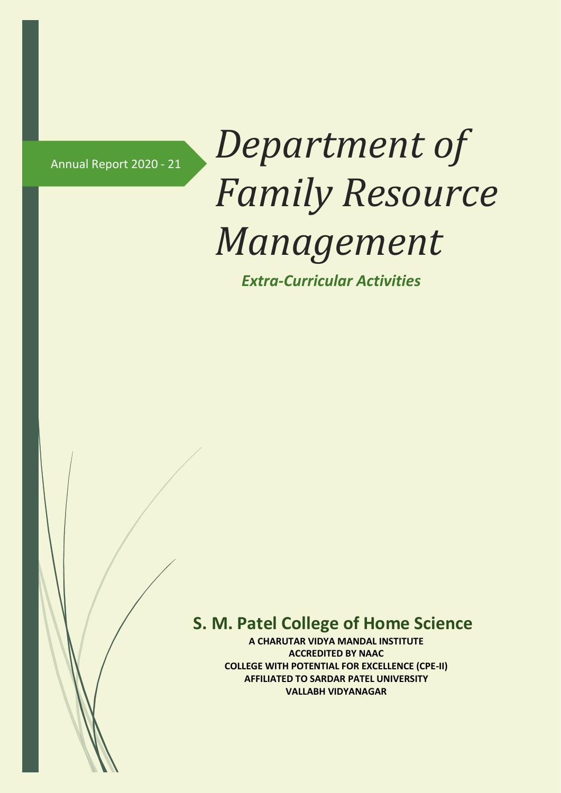# Annual Report 2020 - <sup>21</sup> *Department of Family Resource Management*

 *Extra-Curricular Activities*

## **S. M. Patel College of Home Science**

**A CHARUTAR VIDYA MANDAL INSTITUTE ACCREDITED BY NAAC COLLEGE WITH POTENTIAL FOR EXCELLENCE (CPE-II) AFFILIATED TO SARDAR PATEL UNIVERSITY VALLABH VIDYANAGAR**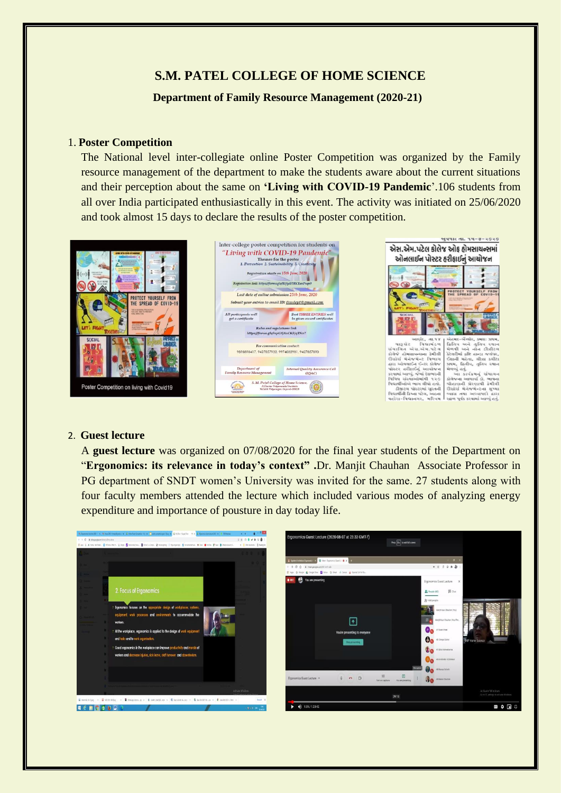### **S.M. PATEL COLLEGE OF HOME SCIENCE**

#### **Department of Family Resource Management (2020-21)**

#### 1. **Poster Competition**

The National level inter-collegiate online Poster Competition was organized by the Family resource management of the department to make the students aware about the current situations and their perception about the same on **'Living with COVID-19 Pandemic**'.106 students from all over India participated enthusiastically in this event. The activity was initiated on 25/06/2020 and took almost 15 days to declare the results of the poster competition.



#### 2. **Guest lecture**

A **guest lecture** was organized on 07/08/2020 for the final year students of the Department on "**Ergonomics: its relevance in today's context" .**Dr. Manjit Chauhan Associate Professor in PG department of SNDT women's University was invited for the same. 27 students along with four faculty members attended the lecture which included various modes of analyzing energy expenditure and importance of pousture in day today life.

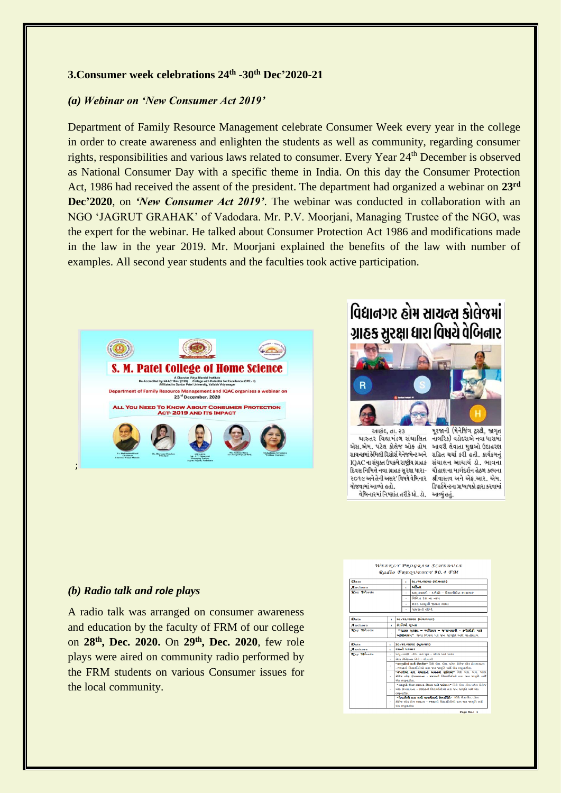#### **3.Consumer week celebrations 24th -30th Dec'2020-21**

#### *(a) Webinar on 'New Consumer Act 2019'*

Department of Family Resource Management celebrate Consumer Week every year in the college in order to create awareness and enlighten the students as well as community, regarding consumer rights, responsibilities and various laws related to consumer. Every Year 24th December is observed as National Consumer Day with a specific theme in India. On this day the Consumer Protection Act, 1986 had received the assent of the president. The department had organized a webinar on **23rd Dec'2020**, on *'New Consumer Act 2019'*. The webinar was conducted in collaboration with an NGO 'JAGRUT GRAHAK' of Vadodara. Mr. P.V. Moorjani, Managing Trustee of the NGO, was the expert for the webinar. He talked about Consumer Protection Act 1986 and modifications made in the law in the year 2019. Mr. Moorjani explained the benefits of the law with number of examples. All second year students and the faculties took active participation.



## વિદ્યાનગર હોમ સાચન્સ કોલેજમાં ગ્રાહક સુરક્ષા ધારા વિષયે વેબિનાર



આણંદ, તા. ૨૩ ચારુતર વિદ્યામંડળ સંચાલિત નાગરિક) વડોદરાએ નવા ધારામાં એસ.એમ. પટેલ કોલેજ ઓફ હોમ આવરી લેવાતા મુદ્દાઓ ઉદાહરણ સાયન્સમાં ફેમિલી રિસોર્સ મેનેજમેન્ટ અને સહિત ચર્ચા કરી હતી. કાર્યક્રમનું IQAC ના સંયુક્ત ઉપક્રમે રાષ્ટ્રીય ગ્રાહક સંચાલન આચાર્ય ડૉ. ભાવના દિવસ નિમિત્તે નવા ગ્રાહક સુરક્ષા ધારા-૨૦૧૯ અને તેની અસર' વિષયે વેબિનાર શ્રીવાસ્તવ અને એક.આર. એમ. યોજવામાં આવ્યો હતો. વેબિનારમાં નિષ્ણાંત તરીકે પ્રો. ડૉ. આવ્યું હતું.

મૂરજાની (મેનેજિંગ ટ્રસ્ટી, જાગૃત ચૌહાણના માર્ગદર્શન હેઠળ કલ્પના ડિપાર્ટમેન્ટના પ્રાધ્યાપકો દ્વારા કરવામાં

#### *(b) Radio talk and role plays*

A radio talk was arranged on consumer awareness and education by the faculty of FRM of our college on **28th, Dec. 2020.** On **29th , Dec. 2020**, few role plays were aired on community radio performed by the FRM students on various Consumer issues for the local community.

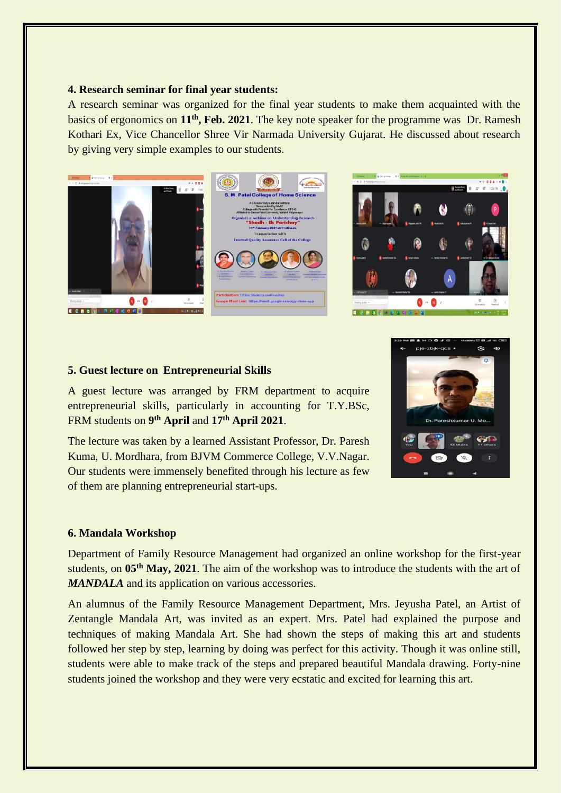#### **4. Research seminar for final year students:**

A research seminar was organized for the final year students to make them acquainted with the basics of ergonomics on **11th , Feb. 2021**. The key note speaker for the programme was Dr. Ramesh Kothari Ex, Vice Chancellor Shree Vir Narmada University Gujarat. He discussed about research by giving very simple examples to our students.





#### **5. Guest lecture on Entrepreneurial Skills**

A guest lecture was arranged by FRM department to acquire entrepreneurial skills, particularly in accounting for T.Y.BSc, FRM students on **9 th April** and **17th April 2021**.

The lecture was taken by a learned Assistant Professor, Dr. Paresh Kuma, U. Mordhara, from BJVM Commerce College, V.V.Nagar. Our students were immensely benefited through his lecture as few of them are planning entrepreneurial start-ups.



#### **6. Mandala Workshop**

Department of Family Resource Management had organized an online workshop for the first-year students, on **05th May, 2021**. The aim of the workshop was to introduce the students with the art of *MANDALA* and its application on various accessories.

An alumnus of the Family Resource Management Department, Mrs. Jeyusha Patel, an Artist of Zentangle Mandala Art, was invited as an expert. Mrs. Patel had explained the purpose and techniques of making Mandala Art. She had shown the steps of making this art and students followed her step by step, learning by doing was perfect for this activity. Though it was online still, students were able to make track of the steps and prepared beautiful Mandala drawing. Forty-nine students joined the workshop and they were very ecstatic and excited for learning this art.